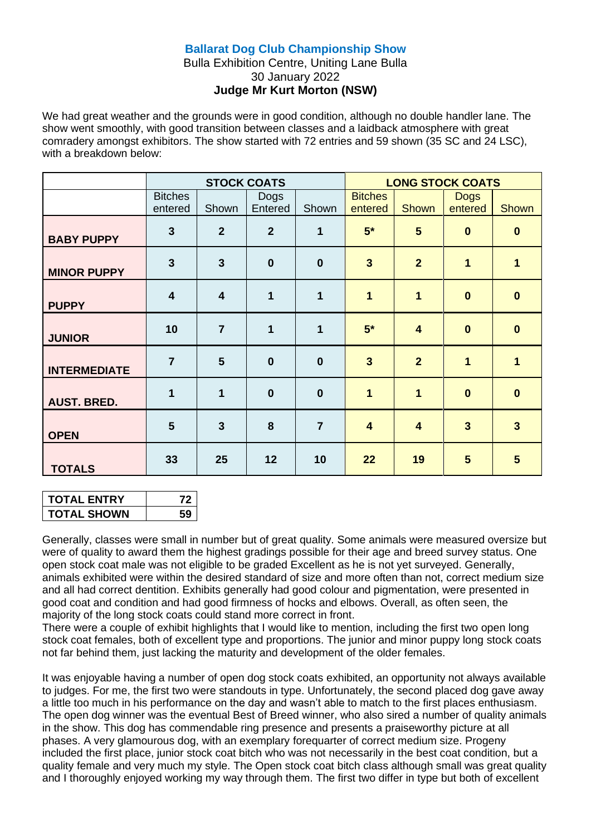## **Ballarat Dog Club Championship Show**

## Bulla Exhibition Centre, Uniting Lane Bulla 30 January 2022 **Judge Mr Kurt Morton (NSW)**

We had great weather and the grounds were in good condition, although no double handler lane. The show went smoothly, with good transition between classes and a laidback atmosphere with great comradery amongst exhibitors. The show started with 72 entries and 59 shown (35 SC and 24 LSC), with a breakdown below:

|                     |                           |                         | <b>STOCK COATS</b> |                |                           |                         | <b>LONG STOCK COATS</b> |                |
|---------------------|---------------------------|-------------------------|--------------------|----------------|---------------------------|-------------------------|-------------------------|----------------|
|                     | <b>Bitches</b><br>entered | Shown                   | Dogs<br>Entered    | Shown          | <b>Bitches</b><br>entered | Shown                   | <b>Dogs</b><br>entered  | Shown          |
| <b>BABY PUPPY</b>   | $\mathbf{3}$              | $\overline{2}$          | $\overline{2}$     | 1              | $5*$                      | 5                       | $\bf{0}$                | $\mathbf{0}$   |
| <b>MINOR PUPPY</b>  | $\mathbf{3}$              | $\overline{3}$          | $\bf{0}$           | $\bf{0}$       | $\overline{3}$            | $\overline{2}$          | 1                       | 1              |
| <b>PUPPY</b>        | $\overline{\mathbf{4}}$   | $\overline{\mathbf{4}}$ | 1                  | 1              | 1                         | $\overline{\mathbf{1}}$ | $\bf{0}$                | $\mathbf{0}$   |
| <b>JUNIOR</b>       | 10                        | $\overline{7}$          | 1                  | $\mathbf 1$    | $5*$                      | $\overline{\mathbf{4}}$ | $\bf{0}$                | $\mathbf{0}$   |
| <b>INTERMEDIATE</b> | $\overline{7}$            | 5                       | $\bf{0}$           | $\bf{0}$       | $\overline{3}$            | $\overline{2}$          | $\overline{1}$          | 1              |
| <b>AUST. BRED.</b>  | 1                         | 1                       | $\bf{0}$           | $\bf{0}$       | 1                         | $\overline{\mathbf{1}}$ | $\bf{0}$                | $\mathbf{0}$   |
| <b>OPEN</b>         | $5\phantom{1}$            | $\overline{3}$          | 8                  | $\overline{7}$ | $\overline{\mathbf{4}}$   | $\overline{\mathbf{4}}$ | $\overline{3}$          | $\overline{3}$ |
| <b>TOTALS</b>       | 33                        | 25                      | 12                 | 10             | 22                        | 19                      | $5\phantom{1}$          | 5              |

| <b>TOTAL ENTRY</b> |  |
|--------------------|--|
| <b>TOTAL SHOWN</b> |  |

Generally, classes were small in number but of great quality. Some animals were measured oversize but were of quality to award them the highest gradings possible for their age and breed survey status. One open stock coat male was not eligible to be graded Excellent as he is not yet surveyed. Generally, animals exhibited were within the desired standard of size and more often than not, correct medium size and all had correct dentition. Exhibits generally had good colour and pigmentation, were presented in good coat and condition and had good firmness of hocks and elbows. Overall, as often seen, the majority of the long stock coats could stand more correct in front.

There were a couple of exhibit highlights that I would like to mention, including the first two open long stock coat females, both of excellent type and proportions. The junior and minor puppy long stock coats not far behind them, just lacking the maturity and development of the older females.

It was enjoyable having a number of open dog stock coats exhibited, an opportunity not always available to judges. For me, the first two were standouts in type. Unfortunately, the second placed dog gave away a little too much in his performance on the day and wasn't able to match to the first places enthusiasm. The open dog winner was the eventual Best of Breed winner, who also sired a number of quality animals in the show. This dog has commendable ring presence and presents a praiseworthy picture at all phases. A very glamourous dog, with an exemplary forequarter of correct medium size. Progeny included the first place, junior stock coat bitch who was not necessarily in the best coat condition, but a quality female and very much my style. The Open stock coat bitch class although small was great quality and I thoroughly enjoyed working my way through them. The first two differ in type but both of excellent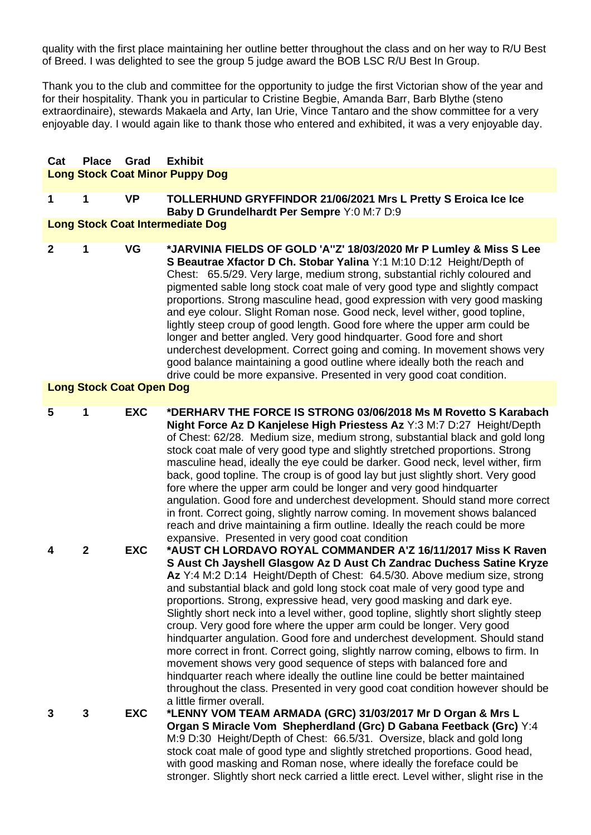quality with the first place maintaining her outline better throughout the class and on her way to R/U Best of Breed. I was delighted to see the group 5 judge award the BOB LSC R/U Best In Group.

Thank you to the club and committee for the opportunity to judge the first Victorian show of the year and for their hospitality. Thank you in particular to Cristine Begbie, Amanda Barr, Barb Blythe (steno extraordinaire), stewards Makaela and Arty, Ian Urie, Vince Tantaro and the show committee for a very enjoyable day. I would again like to thank those who entered and exhibited, it was a very enjoyable day.

#### **Cat Place Grad Exhibit Long Stock Coat Minor Puppy Dog**

### **1 1 VP TOLLERHUND GRYFFINDOR 21/06/2021 Mrs L Pretty S Eroica Ice Ice Baby D Grundelhardt Per Sempre** Y:0 M:7 D:9

### **Long Stock Coat Intermediate Dog**

**2 1 VG \*JARVINIA FIELDS OF GOLD 'A''Z' 18/03/2020 Mr P Lumley & Miss S Lee S Beautrae Xfactor D Ch. Stobar Yalina** Y:1 M:10 D:12 Height/Depth of Chest: 65.5/29. Very large, medium strong, substantial richly coloured and pigmented sable long stock coat male of very good type and slightly compact proportions. Strong masculine head, good expression with very good masking and eye colour. Slight Roman nose. Good neck, level wither, good topline, lightly steep croup of good length. Good fore where the upper arm could be longer and better angled. Very good hindquarter. Good fore and short underchest development. Correct going and coming. In movement shows very good balance maintaining a good outline where ideally both the reach and drive could be more expansive. Presented in very good coat condition.

### **Long Stock Coat Open Dog**

| 5 | 1              | <b>EXC</b> | *DERHARV THE FORCE IS STRONG 03/06/2018 Ms M Rovetto S Karabach<br>Night Force Az D Kanjelese High Priestess Az Y:3 M:7 D:27 Height/Depth<br>of Chest: 62/28. Medium size, medium strong, substantial black and gold long<br>stock coat male of very good type and slightly stretched proportions. Strong<br>masculine head, ideally the eye could be darker. Good neck, level wither, firm<br>back, good topline. The croup is of good lay but just slightly short. Very good<br>fore where the upper arm could be longer and very good hindquarter<br>angulation. Good fore and underchest development. Should stand more correct<br>in front. Correct going, slightly narrow coming. In movement shows balanced<br>reach and drive maintaining a firm outline. Ideally the reach could be more<br>expansive. Presented in very good coat condition                                                                                                                      |
|---|----------------|------------|----------------------------------------------------------------------------------------------------------------------------------------------------------------------------------------------------------------------------------------------------------------------------------------------------------------------------------------------------------------------------------------------------------------------------------------------------------------------------------------------------------------------------------------------------------------------------------------------------------------------------------------------------------------------------------------------------------------------------------------------------------------------------------------------------------------------------------------------------------------------------------------------------------------------------------------------------------------------------|
| 4 | $\overline{2}$ | <b>EXC</b> | *AUST CH LORDAVO ROYAL COMMANDER A'Z 16/11/2017 Miss K Raven<br>S Aust Ch Jayshell Glasgow Az D Aust Ch Zandrac Duchess Satine Kryze<br>Az Y:4 M:2 D:14 Height/Depth of Chest: 64.5/30. Above medium size, strong<br>and substantial black and gold long stock coat male of very good type and<br>proportions. Strong, expressive head, very good masking and dark eye.<br>Slightly short neck into a level wither, good topline, slightly short slightly steep<br>croup. Very good fore where the upper arm could be longer. Very good<br>hindquarter angulation. Good fore and underchest development. Should stand<br>more correct in front. Correct going, slightly narrow coming, elbows to firm. In<br>movement shows very good sequence of steps with balanced fore and<br>hindquarter reach where ideally the outline line could be better maintained<br>throughout the class. Presented in very good coat condition however should be<br>a little firmer overall. |
| 3 | 3              | <b>EXC</b> | *LENNY VOM TEAM ARMADA (GRC) 31/03/2017 Mr D Organ & Mrs L<br>Organ S Miracle Vom Shepherdland (Grc) D Gabana Feetback (Grc) Y:4<br>M:9 D:30 Height/Depth of Chest: 66.5/31. Oversize, black and gold long<br>stock coat male of good type and slightly stretched proportions. Good head,<br>with good masking and Roman nose, where ideally the foreface could be<br>stronger. Slightly short neck carried a little erect. Level wither, slight rise in the                                                                                                                                                                                                                                                                                                                                                                                                                                                                                                               |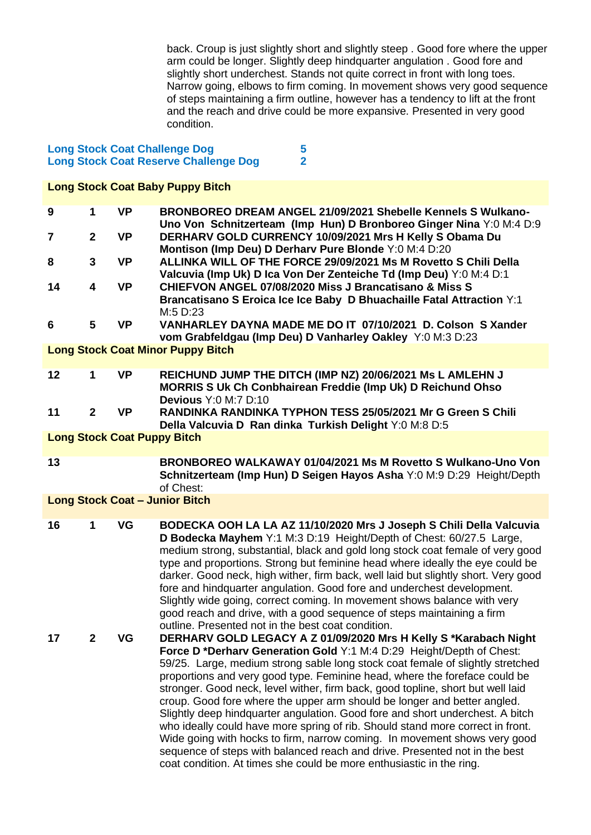back. Croup is just slightly short and slightly steep . Good fore where the upper arm could be longer. Slightly deep hindquarter angulation . Good fore and slightly short underchest. Stands not quite correct in front with long toes. Narrow going, elbows to firm coming. In movement shows very good sequence of steps maintaining a firm outline, however has a tendency to lift at the front and the reach and drive could be more expansive. Presented in very good condition.

### **Long Stock Coat Challenge Dog** 5<br> **Long Stock Coat Reserve Challenge Dog** 2 **Long Stock Coat Reserve Challenge Dog 2**

| <b>Long Stock Coat Baby Puppy Bitch</b> |                |           |                                                                                                                                                                                                                                                                                                                                                                                                                                                                                                                                                                                                                                                                                                                                                                                                                                                                               |  |
|-----------------------------------------|----------------|-----------|-------------------------------------------------------------------------------------------------------------------------------------------------------------------------------------------------------------------------------------------------------------------------------------------------------------------------------------------------------------------------------------------------------------------------------------------------------------------------------------------------------------------------------------------------------------------------------------------------------------------------------------------------------------------------------------------------------------------------------------------------------------------------------------------------------------------------------------------------------------------------------|--|
| 9                                       | 1              | <b>VP</b> | BRONBOREO DREAM ANGEL 21/09/2021 Shebelle Kennels S Wulkano-<br>Uno Von Schnitzerteam (Imp Hun) D Bronboreo Ginger Nina Y:0 M:4 D:9                                                                                                                                                                                                                                                                                                                                                                                                                                                                                                                                                                                                                                                                                                                                           |  |
| $\overline{7}$                          | $\overline{2}$ | <b>VP</b> | DERHARV GOLD CURRENCY 10/09/2021 Mrs H Kelly S Obama Du<br>Montison (Imp Deu) D Derharv Pure Blonde Y:0 M:4 D:20                                                                                                                                                                                                                                                                                                                                                                                                                                                                                                                                                                                                                                                                                                                                                              |  |
| 8                                       | 3              | <b>VP</b> | ALLINKA WILL OF THE FORCE 29/09/2021 Ms M Rovetto S Chili Della<br>Valcuvia (Imp Uk) D Ica Von Der Zenteiche Td (Imp Deu) Y:0 M:4 D:1                                                                                                                                                                                                                                                                                                                                                                                                                                                                                                                                                                                                                                                                                                                                         |  |
| 14                                      | 4              | <b>VP</b> | <b>CHIEFVON ANGEL 07/08/2020 Miss J Brancatisano &amp; Miss S</b><br>Brancatisano S Eroica Ice Ice Baby D Bhuachaille Fatal Attraction Y:1<br>M:5 D:23                                                                                                                                                                                                                                                                                                                                                                                                                                                                                                                                                                                                                                                                                                                        |  |
| 6                                       | 5              | <b>VP</b> | VANHARLEY DAYNA MADE ME DO IT 07/10/2021 D. Colson S Xander<br>vom Grabfeldgau (Imp Deu) D Vanharley Oakley Y:0 M:3 D:23                                                                                                                                                                                                                                                                                                                                                                                                                                                                                                                                                                                                                                                                                                                                                      |  |
|                                         |                |           | <b>Long Stock Coat Minor Puppy Bitch</b>                                                                                                                                                                                                                                                                                                                                                                                                                                                                                                                                                                                                                                                                                                                                                                                                                                      |  |
| 12                                      | 1              | <b>VP</b> | REICHUND JUMP THE DITCH (IMP NZ) 20/06/2021 Ms L AMLEHN J<br>MORRIS S Uk Ch Conbhairean Freddie (Imp Uk) D Reichund Ohso<br><b>Devious Y:0 M:7 D:10</b>                                                                                                                                                                                                                                                                                                                                                                                                                                                                                                                                                                                                                                                                                                                       |  |
| 11                                      | $\overline{2}$ | <b>VP</b> | RANDINKA RANDINKA TYPHON TESS 25/05/2021 Mr G Green S Chili<br>Della Valcuvia D Ran dinka Turkish Delight Y:0 M:8 D:5                                                                                                                                                                                                                                                                                                                                                                                                                                                                                                                                                                                                                                                                                                                                                         |  |
|                                         |                |           | <b>Long Stock Coat Puppy Bitch</b>                                                                                                                                                                                                                                                                                                                                                                                                                                                                                                                                                                                                                                                                                                                                                                                                                                            |  |
| 13                                      |                |           | BRONBOREO WALKAWAY 01/04/2021 Ms M Rovetto S Wulkano-Uno Von<br>Schnitzerteam (Imp Hun) D Seigen Hayos Asha Y:0 M:9 D:29 Height/Depth<br>of Chest:                                                                                                                                                                                                                                                                                                                                                                                                                                                                                                                                                                                                                                                                                                                            |  |
|                                         |                |           | <b>Long Stock Coat - Junior Bitch</b>                                                                                                                                                                                                                                                                                                                                                                                                                                                                                                                                                                                                                                                                                                                                                                                                                                         |  |
| 16                                      | 1              | VG        | BODECKA OOH LA LA AZ 11/10/2020 Mrs J Joseph S Chili Della Valcuvia<br>D Bodecka Mayhem Y:1 M:3 D:19 Height/Depth of Chest: 60/27.5 Large,<br>medium strong, substantial, black and gold long stock coat female of very good<br>type and proportions. Strong but feminine head where ideally the eye could be<br>darker. Good neck, high wither, firm back, well laid but slightly short. Very good<br>fore and hindquarter angulation. Good fore and underchest development.<br>Slightly wide going, correct coming. In movement shows balance with very<br>good reach and drive, with a good sequence of steps maintaining a firm<br>outline. Presented not in the best coat condition.                                                                                                                                                                                     |  |
| 17                                      | $\mathbf{2}$   | VG        | DERHARV GOLD LEGACY A Z 01/09/2020 Mrs H Kelly S *Karabach Night<br>Force D *Derharv Generation Gold Y:1 M:4 D:29 Height/Depth of Chest:<br>59/25. Large, medium strong sable long stock coat female of slightly stretched<br>proportions and very good type. Feminine head, where the foreface could be<br>stronger. Good neck, level wither, firm back, good topline, short but well laid<br>croup. Good fore where the upper arm should be longer and better angled.<br>Slightly deep hindquarter angulation. Good fore and short underchest. A bitch<br>who ideally could have more spring of rib. Should stand more correct in front.<br>Wide going with hocks to firm, narrow coming. In movement shows very good<br>sequence of steps with balanced reach and drive. Presented not in the best<br>coat condition. At times she could be more enthusiastic in the ring. |  |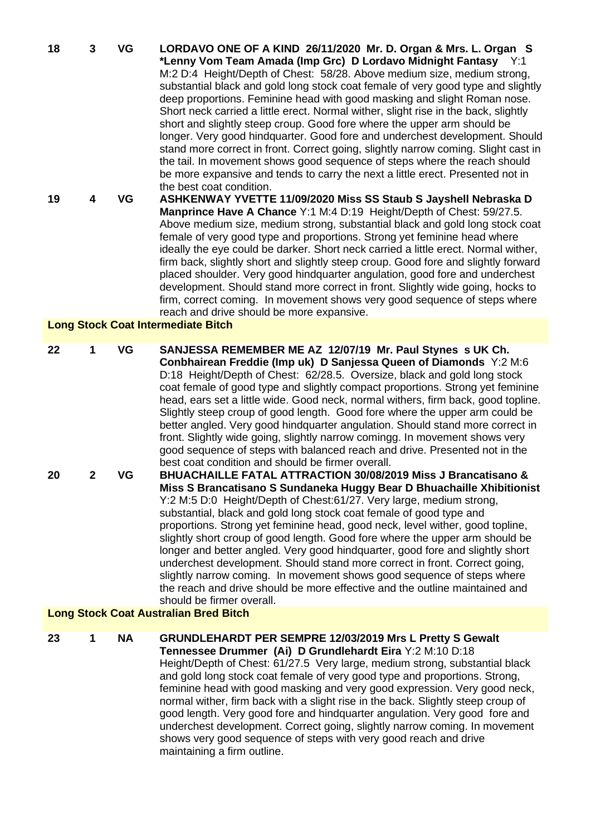**18 3 VG LORDAVO ONE OF A KIND 26/11/2020 Mr. D. Organ & Mrs. L. Organ S \*Lenny Vom Team Amada (Imp Grc) D Lordavo Midnight Fantasy** Y:1 M:2 D:4 Height/Depth of Chest: 58/28. Above medium size, medium strong, substantial black and gold long stock coat female of very good type and slightly deep proportions. Feminine head with good masking and slight Roman nose. Short neck carried a little erect. Normal wither, slight rise in the back, slightly short and slightly steep croup. Good fore where the upper arm should be longer. Very good hindquarter. Good fore and underchest development. Should stand more correct in front. Correct going, slightly narrow coming. Slight cast in the tail. In movement shows good sequence of steps where the reach should be more expansive and tends to carry the next a little erect. Presented not in the best coat condition. **19 4 VG ASHKENWAY YVETTE 11/09/2020 Miss SS Staub S Jayshell Nebraska D Manprince Have A Chance** Y:1 M:4 D:19 Height/Depth of Chest: 59/27.5. Above medium size, medium strong, substantial black and gold long stock coat female of very good type and proportions. Strong yet feminine head where ideally the eye could be darker. Short neck carried a little erect. Normal wither, firm back, slightly short and slightly steep croup. Good fore and slightly forward placed shoulder. Very good hindquarter angulation, good fore and underchest

> development. Should stand more correct in front. Slightly wide going, hocks to firm, correct coming. In movement shows very good sequence of steps where

### **Long Stock Coat Intermediate Bitch**

**22 1 VG SANJESSA REMEMBER ME AZ 12/07/19 Mr. Paul Stynes s UK Ch. Conbhairean Freddie (Imp uk) D Sanjessa Queen of Diamonds** Y:2 M:6 D:18 Height/Depth of Chest: 62/28.5. Oversize, black and gold long stock coat female of good type and slightly compact proportions. Strong yet feminine head, ears set a little wide. Good neck, normal withers, firm back, good topline. Slightly steep croup of good length. Good fore where the upper arm could be better angled. Very good hindquarter angulation. Should stand more correct in front. Slightly wide going, slightly narrow comingg. In movement shows very good sequence of steps with balanced reach and drive. Presented not in the best coat condition and should be firmer overall. **20 2 VG BHUACHAILLE FATAL ATTRACTION 30/08/2019 Miss J Brancatisano &** 

reach and drive should be more expansive.

**Miss S Brancatisano S Sundaneka Huggy Bear D Bhuachaille Xhibitionist** Y:2 M:5 D:0 Height/Depth of Chest:61/27. Very large, medium strong, substantial, black and gold long stock coat female of good type and proportions. Strong yet feminine head, good neck, level wither, good topline, slightly short croup of good length. Good fore where the upper arm should be longer and better angled. Very good hindquarter, good fore and slightly short underchest development. Should stand more correct in front. Correct going, slightly narrow coming. In movement shows good sequence of steps where the reach and drive should be more effective and the outline maintained and should be firmer overall.

## **Long Stock Coat Australian Bred Bitch**

**23 1 NA GRUNDLEHARDT PER SEMPRE 12/03/2019 Mrs L Pretty S Gewalt** 

**Tennessee Drummer (Ai) D Grundlehardt Eira** Y:2 M:10 D:18 Height/Depth of Chest: 61/27.5 Very large, medium strong, substantial black and gold long stock coat female of very good type and proportions. Strong, feminine head with good masking and very good expression. Very good neck, normal wither, firm back with a slight rise in the back. Slightly steep croup of good length. Very good fore and hindquarter angulation. Very good fore and underchest development. Correct going, slightly narrow coming. In movement shows very good sequence of steps with very good reach and drive maintaining a firm outline.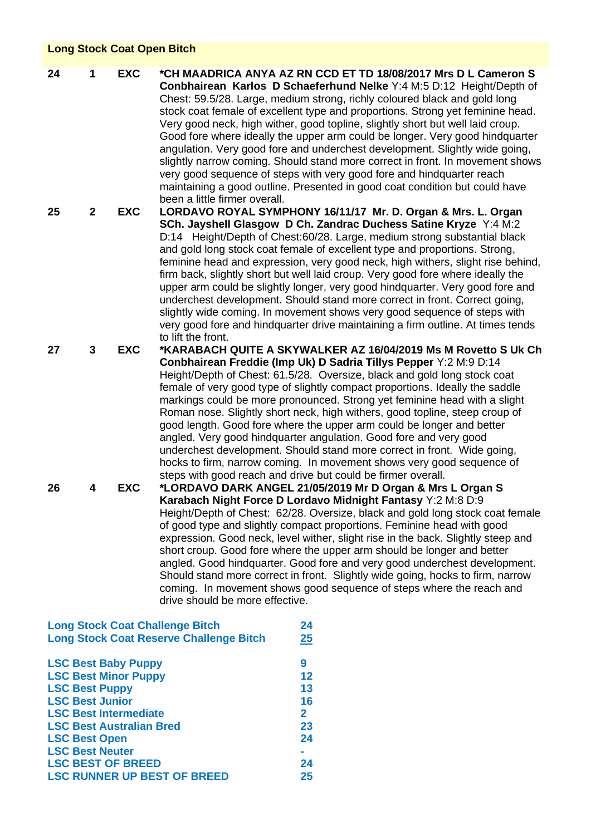## **Long Stock Coat Open Bitch**

**24 1 EXC \*CH MAADRICA ANYA AZ RN CCD ET TD 18/08/2017 Mrs D L Cameron S Conbhairean Karlos D Schaeferhund Nelke** Y:4 M:5 D:12 Height/Depth of Chest: 59.5/28. Large, medium strong, richly coloured black and gold long stock coat female of excellent type and proportions. Strong yet feminine head. Very good neck, high wither, good topline, slightly short but well laid croup. Good fore where ideally the upper arm could be longer. Very good hindquarter angulation. Very good fore and underchest development. Slightly wide going, slightly narrow coming. Should stand more correct in front. In movement shows very good sequence of steps with very good fore and hindquarter reach maintaining a good outline. Presented in good coat condition but could have been a little firmer overall.

**25 2 EXC LORDAVO ROYAL SYMPHONY 16/11/17 Mr. D. Organ & Mrs. L. Organ SCh. Jayshell Glasgow D Ch. Zandrac Duchess Satine Kryze** Y:4 M:2 D:14 Height/Depth of Chest:60/28. Large, medium strong substantial black and gold long stock coat female of excellent type and proportions. Strong, feminine head and expression, very good neck, high withers, slight rise behind, firm back, slightly short but well laid croup. Very good fore where ideally the upper arm could be slightly longer, very good hindquarter. Very good fore and underchest development. Should stand more correct in front. Correct going, slightly wide coming. In movement shows very good sequence of steps with very good fore and hindquarter drive maintaining a firm outline. At times tends to lift the front.

**27 3 EXC \*KARABACH QUITE A SKYWALKER AZ 16/04/2019 Ms M Rovetto S Uk Ch Conbhairean Freddie (Imp Uk) D Sadria Tillys Pepper** Y:2 M:9 D:14 Height/Depth of Chest: 61.5/28. Oversize, black and gold long stock coat female of very good type of slightly compact proportions. Ideally the saddle markings could be more pronounced. Strong yet feminine head with a slight Roman nose. Slightly short neck, high withers, good topline, steep croup of good length. Good fore where the upper arm could be longer and better angled. Very good hindquarter angulation. Good fore and very good underchest development. Should stand more correct in front. Wide going, hocks to firm, narrow coming. In movement shows very good sequence of steps with good reach and drive but could be firmer overall.

**26 4 EXC \*LORDAVO DARK ANGEL 21/05/2019 Mr D Organ & Mrs L Organ S Karabach Night Force D Lordavo Midnight Fantasy** Y:2 M:8 D:9 Height/Depth of Chest: 62/28. Oversize, black and gold long stock coat female of good type and slightly compact proportions. Feminine head with good expression. Good neck, level wither, slight rise in the back. Slightly steep and short croup. Good fore where the upper arm should be longer and better angled. Good hindquarter. Good fore and very good underchest development. Should stand more correct in front. Slightly wide going, hocks to firm, narrow coming. In movement shows good sequence of steps where the reach and drive should be more effective.

| <b>Long Stock Coat Challenge Bitch</b>         |                   |  |  |  |
|------------------------------------------------|-------------------|--|--|--|
| <b>Long Stock Coat Reserve Challenge Bitch</b> | 25                |  |  |  |
| <b>LSC Best Baby Puppy</b>                     | 9                 |  |  |  |
| <b>LSC Best Minor Puppy</b>                    | $12 \ \mathsf{ }$ |  |  |  |
| <b>LSC Best Puppy</b>                          | 13                |  |  |  |
| <b>LSC Best Junior</b>                         | 16                |  |  |  |
| <b>LSC Best Intermediate</b>                   | $\mathbf{2}$      |  |  |  |
| <b>LSC Best Australian Bred</b>                | 23                |  |  |  |
| <b>LSC Best Open</b>                           | 24                |  |  |  |
| <b>LSC Best Neuter</b>                         |                   |  |  |  |
| <b>LSC BEST OF BREED</b>                       | 24                |  |  |  |
| <b>LSC RUNNER UP BEST OF BREED</b>             | 25                |  |  |  |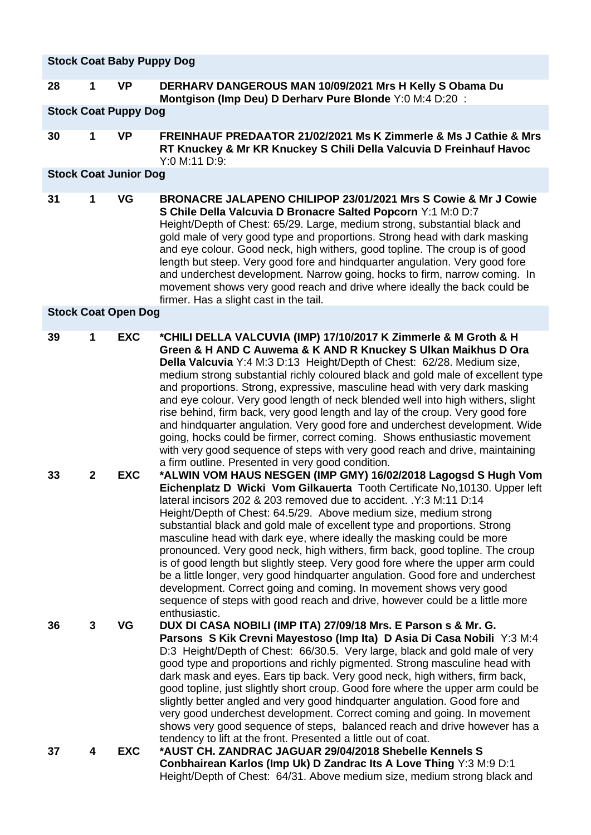|    | <b>Stock Coat Baby Puppy Dog</b> |                              |                                                                                                                                                                                                                                                                                                                                                                                                                                                                                                                                                                                                                                                                                                                                                                                                                                                                         |  |  |
|----|----------------------------------|------------------------------|-------------------------------------------------------------------------------------------------------------------------------------------------------------------------------------------------------------------------------------------------------------------------------------------------------------------------------------------------------------------------------------------------------------------------------------------------------------------------------------------------------------------------------------------------------------------------------------------------------------------------------------------------------------------------------------------------------------------------------------------------------------------------------------------------------------------------------------------------------------------------|--|--|
| 28 | 1                                | <b>VP</b>                    | DERHARV DANGEROUS MAN 10/09/2021 Mrs H Kelly S Obama Du<br>Montgison (Imp Deu) D Derharv Pure Blonde Y:0 M:4 D:20 :                                                                                                                                                                                                                                                                                                                                                                                                                                                                                                                                                                                                                                                                                                                                                     |  |  |
|    | <b>Stock Coat Puppy Dog</b>      |                              |                                                                                                                                                                                                                                                                                                                                                                                                                                                                                                                                                                                                                                                                                                                                                                                                                                                                         |  |  |
| 30 | 1                                | <b>VP</b>                    | FREINHAUF PREDAATOR 21/02/2021 Ms K Zimmerle & Ms J Cathie & Mrs<br>RT Knuckey & Mr KR Knuckey S Chili Della Valcuvia D Freinhauf Havoc<br>Y:0 M:11 D:9:                                                                                                                                                                                                                                                                                                                                                                                                                                                                                                                                                                                                                                                                                                                |  |  |
|    |                                  | <b>Stock Coat Junior Dog</b> |                                                                                                                                                                                                                                                                                                                                                                                                                                                                                                                                                                                                                                                                                                                                                                                                                                                                         |  |  |
| 31 | 1                                | VG                           | BRONACRE JALAPENO CHILIPOP 23/01/2021 Mrs S Cowie & Mr J Cowie<br>S Chile Della Valcuvia D Bronacre Salted Popcorn Y:1 M:0 D:7<br>Height/Depth of Chest: 65/29. Large, medium strong, substantial black and<br>gold male of very good type and proportions. Strong head with dark masking<br>and eye colour. Good neck, high withers, good topline. The croup is of good<br>length but steep. Very good fore and hindquarter angulation. Very good fore<br>and underchest development. Narrow going, hocks to firm, narrow coming. In<br>movement shows very good reach and drive where ideally the back could be<br>firmer. Has a slight cast in the tail.                                                                                                                                                                                                             |  |  |
|    |                                  | <b>Stock Coat Open Dog</b>   |                                                                                                                                                                                                                                                                                                                                                                                                                                                                                                                                                                                                                                                                                                                                                                                                                                                                         |  |  |
| 39 | 1                                | <b>EXC</b>                   | *CHILI DELLA VALCUVIA (IMP) 17/10/2017 K Zimmerle & M Groth & H<br>Green & H AND C Auwema & K AND R Knuckey S Ulkan Maikhus D Ora<br>Della Valcuvia Y:4 M:3 D:13 Height/Depth of Chest: 62/28. Medium size,<br>medium strong substantial richly coloured black and gold male of excellent type<br>and proportions. Strong, expressive, masculine head with very dark masking<br>and eye colour. Very good length of neck blended well into high withers, slight<br>rise behind, firm back, very good length and lay of the croup. Very good fore<br>and hindquarter angulation. Very good fore and underchest development. Wide<br>going, hocks could be firmer, correct coming. Shows enthusiastic movement<br>with very good sequence of steps with very good reach and drive, maintaining<br>a firm outline. Presented in very good condition.                       |  |  |
| 33 | $\overline{2}$                   | <b>EXC</b>                   | *ALWIN VOM HAUS NESGEN (IMP GMY) 16/02/2018 Lagogsd S Hugh Vom<br>Eichenplatz D Wicki Vom Gilkauerta Tooth Certificate No, 10130. Upper left<br>lateral incisors 202 & 203 removed due to accident. . Y:3 M:11 D:14<br>Height/Depth of Chest: 64.5/29. Above medium size, medium strong<br>substantial black and gold male of excellent type and proportions. Strong<br>masculine head with dark eye, where ideally the masking could be more<br>pronounced. Very good neck, high withers, firm back, good topline. The croup<br>is of good length but slightly steep. Very good fore where the upper arm could<br>be a little longer, very good hindquarter angulation. Good fore and underchest<br>development. Correct going and coming. In movement shows very good<br>sequence of steps with good reach and drive, however could be a little more<br>enthusiastic. |  |  |
| 36 | 3                                | VG                           | DUX DI CASA NOBILI (IMP ITA) 27/09/18 Mrs. E Parson s & Mr. G.<br>Parsons S Kik Crevni Mayestoso (Imp Ita) D Asia Di Casa Nobili Y:3 M:4<br>D:3 Height/Depth of Chest: 66/30.5. Very large, black and gold male of very<br>good type and proportions and richly pigmented. Strong masculine head with<br>dark mask and eyes. Ears tip back. Very good neck, high withers, firm back,<br>good topline, just slightly short croup. Good fore where the upper arm could be<br>slightly better angled and very good hindquarter angulation. Good fore and<br>very good underchest development. Correct coming and going. In movement<br>shows very good sequence of steps, balanced reach and drive however has a<br>tendency to lift at the front. Presented a little out of coat.                                                                                         |  |  |
| 37 | 4                                | <b>EXC</b>                   | *AUST CH. ZANDRAC JAGUAR 29/04/2018 Shebelle Kennels S<br>Conbhairean Karlos (Imp Uk) D Zandrac Its A Love Thing Y:3 M:9 D:1<br>Height/Depth of Chest: 64/31. Above medium size, medium strong black and                                                                                                                                                                                                                                                                                                                                                                                                                                                                                                                                                                                                                                                                |  |  |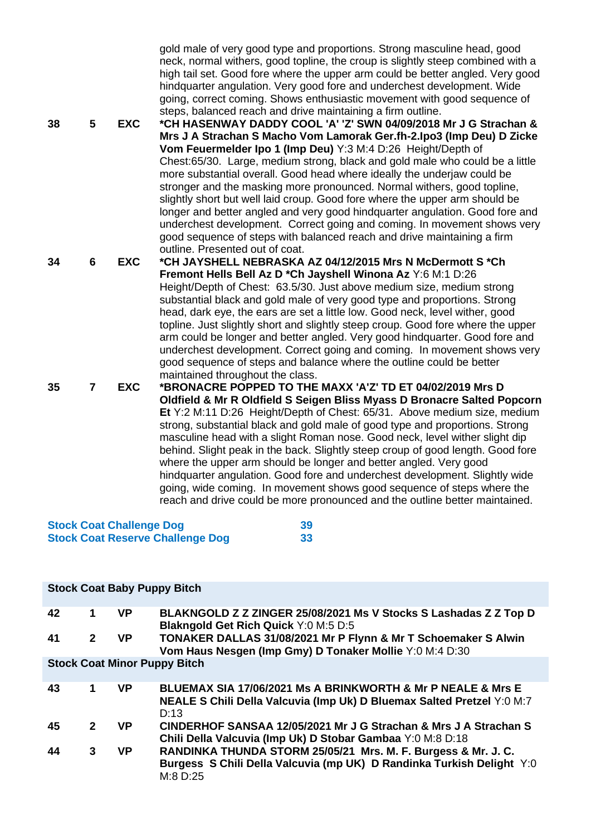| 38 | 5              | <b>EXC</b> | gold male of very good type and proportions. Strong masculine head, good<br>neck, normal withers, good topline, the croup is slightly steep combined with a<br>high tail set. Good fore where the upper arm could be better angled. Very good<br>hindquarter angulation. Very good fore and underchest development. Wide<br>going, correct coming. Shows enthusiastic movement with good sequence of<br>steps, balanced reach and drive maintaining a firm outline.<br>*CH HASENWAY DADDY COOL 'A' 'Z' SWN 04/09/2018 Mr J G Strachan &<br>Mrs J A Strachan S Macho Vom Lamorak Ger.fh-2.lpo3 (Imp Deu) D Zicke<br>Vom Feuermelder Ipo 1 (Imp Deu) Y:3 M:4 D:26 Height/Depth of<br>Chest:65/30. Large, medium strong, black and gold male who could be a little<br>more substantial overall. Good head where ideally the underjaw could be<br>stronger and the masking more pronounced. Normal withers, good topline,<br>slightly short but well laid croup. Good fore where the upper arm should be<br>longer and better angled and very good hindquarter angulation. Good fore and<br>underchest development. Correct going and coming. In movement shows very<br>good sequence of steps with balanced reach and drive maintaining a firm<br>outline. Presented out of coat. |
|----|----------------|------------|--------------------------------------------------------------------------------------------------------------------------------------------------------------------------------------------------------------------------------------------------------------------------------------------------------------------------------------------------------------------------------------------------------------------------------------------------------------------------------------------------------------------------------------------------------------------------------------------------------------------------------------------------------------------------------------------------------------------------------------------------------------------------------------------------------------------------------------------------------------------------------------------------------------------------------------------------------------------------------------------------------------------------------------------------------------------------------------------------------------------------------------------------------------------------------------------------------------------------------------------------------------------------------|
| 34 | 6              | <b>EXC</b> | *CH JAYSHELL NEBRASKA AZ 04/12/2015 Mrs N McDermott S *Ch                                                                                                                                                                                                                                                                                                                                                                                                                                                                                                                                                                                                                                                                                                                                                                                                                                                                                                                                                                                                                                                                                                                                                                                                                      |
|    |                |            | Fremont Hells Bell Az D *Ch Jayshell Winona Az Y:6 M:1 D:26<br>Height/Depth of Chest: 63.5/30. Just above medium size, medium strong<br>substantial black and gold male of very good type and proportions. Strong<br>head, dark eye, the ears are set a little low. Good neck, level wither, good<br>topline. Just slightly short and slightly steep croup. Good fore where the upper<br>arm could be longer and better angled. Very good hindquarter. Good fore and<br>underchest development. Correct going and coming. In movement shows very<br>good sequence of steps and balance where the outline could be better<br>maintained throughout the class.                                                                                                                                                                                                                                                                                                                                                                                                                                                                                                                                                                                                                   |
| 35 | $\overline{7}$ | <b>EXC</b> | *BRONACRE POPPED TO THE MAXX 'A'Z' TD ET 04/02/2019 Mrs D<br>Oldfield & Mr R Oldfield S Seigen Bliss Myass D Bronacre Salted Popcorn<br>Et Y:2 M:11 D:26 Height/Depth of Chest: 65/31. Above medium size, medium<br>strong, substantial black and gold male of good type and proportions. Strong<br>masculine head with a slight Roman nose. Good neck, level wither slight dip<br>behind. Slight peak in the back. Slightly steep croup of good length. Good fore<br>where the upper arm should be longer and better angled. Very good<br>hindquarter angulation. Good fore and underchest development. Slightly wide<br>going, wide coming. In movement shows good sequence of steps where the<br>reach and drive could be more pronounced and the outline better maintained.                                                                                                                                                                                                                                                                                                                                                                                                                                                                                                |
|    |                |            |                                                                                                                                                                                                                                                                                                                                                                                                                                                                                                                                                                                                                                                                                                                                                                                                                                                                                                                                                                                                                                                                                                                                                                                                                                                                                |

#### **Stock Coat Challenge Dog 39 Stock Coat Reserve Challenge Dog 33**

|    |                                     |           | <b>Stock Coat Baby Puppy Bitch</b>                                                                                                                           |  |  |
|----|-------------------------------------|-----------|--------------------------------------------------------------------------------------------------------------------------------------------------------------|--|--|
| 42 | 1.                                  | <b>VP</b> | BLAKNGOLD Z Z ZINGER 25/08/2021 Ms V Stocks S Lashadas Z Z Top D<br><b>Blakngold Get Rich Quick Y:0 M:5 D:5</b>                                              |  |  |
| 41 | $\mathbf{2}$                        | <b>VP</b> | TONAKER DALLAS 31/08/2021 Mr P Flynn & Mr T Schoemaker S Alwin<br>Vom Haus Nesgen (Imp Gmy) D Tonaker Mollie Y:0 M:4 D:30                                    |  |  |
|    | <b>Stock Coat Minor Puppy Bitch</b> |           |                                                                                                                                                              |  |  |
| 43 | 1                                   | <b>VP</b> | <b>BLUEMAX SIA 17/06/2021 Ms A BRINKWORTH &amp; Mr P NEALE &amp; Mrs E</b><br>NEALE S Chili Della Valcuvia (Imp Uk) D Bluemax Salted Pretzel Y:0 M:7<br>D:13 |  |  |
| 45 | $\mathbf{2}$                        | VP.       | CINDERHOF SANSAA 12/05/2021 Mr J G Strachan & Mrs J A Strachan S<br>Chili Della Valcuvia (Imp Uk) D Stobar Gambaa Y:0 M:8 D:18                               |  |  |
| 44 | 3                                   | VP.       | RANDINKA THUNDA STORM 25/05/21 Mrs. M. F. Burgess & Mr. J. C.<br>Burgess S Chili Della Valcuvia (mp UK) D Randinka Turkish Delight Y:0<br>$M:8$ D:25         |  |  |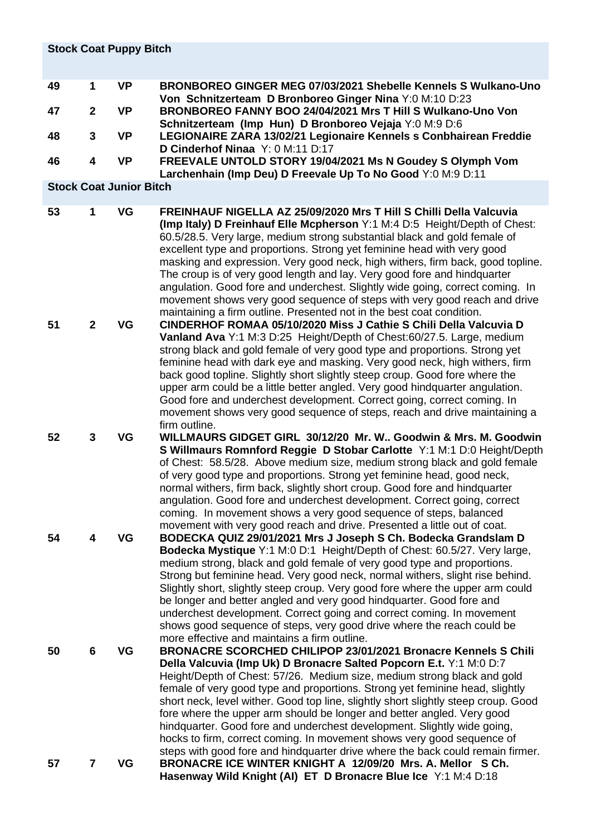|    | <b>Stock Coat Puppy Bitch</b> |                                |                                                                                                                                                                                                                                                                                                                                                                                                                                                                                                                                                                                                                                                                                                               |  |  |  |
|----|-------------------------------|--------------------------------|---------------------------------------------------------------------------------------------------------------------------------------------------------------------------------------------------------------------------------------------------------------------------------------------------------------------------------------------------------------------------------------------------------------------------------------------------------------------------------------------------------------------------------------------------------------------------------------------------------------------------------------------------------------------------------------------------------------|--|--|--|
| 49 | $\mathbf{1}$                  | <b>VP</b>                      | BRONBOREO GINGER MEG 07/03/2021 Shebelle Kennels S Wulkano-Uno<br>Von Schnitzerteam D Bronboreo Ginger Nina Y:0 M:10 D:23                                                                                                                                                                                                                                                                                                                                                                                                                                                                                                                                                                                     |  |  |  |
| 47 | $\mathbf{2}$                  | <b>VP</b>                      | BRONBOREO FANNY BOO 24/04/2021 Mrs T Hill S Wulkano-Uno Von<br>Schnitzerteam (Imp Hun) D Bronboreo Vejaja Y:0 M:9 D:6                                                                                                                                                                                                                                                                                                                                                                                                                                                                                                                                                                                         |  |  |  |
| 48 | 3                             | <b>VP</b>                      | LEGIONAIRE ZARA 13/02/21 Legionaire Kennels s Conbhairean Freddie<br>D Cinderhof Ninaa Y: 0 M:11 D:17                                                                                                                                                                                                                                                                                                                                                                                                                                                                                                                                                                                                         |  |  |  |
| 46 | 4                             | <b>VP</b>                      | FREEVALE UNTOLD STORY 19/04/2021 Ms N Goudey S Olymph Vom<br>Larchenhain (Imp Deu) D Freevale Up To No Good Y:0 M:9 D:11                                                                                                                                                                                                                                                                                                                                                                                                                                                                                                                                                                                      |  |  |  |
|    |                               | <b>Stock Coat Junior Bitch</b> |                                                                                                                                                                                                                                                                                                                                                                                                                                                                                                                                                                                                                                                                                                               |  |  |  |
| 53 | 1                             | VG                             | FREINHAUF NIGELLA AZ 25/09/2020 Mrs T Hill S Chilli Della Valcuvia<br>(Imp Italy) D Freinhauf Elle Mcpherson Y:1 M:4 D:5 Height/Depth of Chest:<br>60.5/28.5. Very large, medium strong substantial black and gold female of<br>excellent type and proportions. Strong yet feminine head with very good<br>masking and expression. Very good neck, high withers, firm back, good topline.<br>The croup is of very good length and lay. Very good fore and hindquarter<br>angulation. Good fore and underchest. Slightly wide going, correct coming. In<br>movement shows very good sequence of steps with very good reach and drive<br>maintaining a firm outline. Presented not in the best coat condition.  |  |  |  |
| 51 | $\mathbf{2}$                  | VG                             | CINDERHOF ROMAA 05/10/2020 Miss J Cathie S Chili Della Valcuvia D<br>Vanland Ava Y:1 M:3 D:25 Height/Depth of Chest:60/27.5. Large, medium<br>strong black and gold female of very good type and proportions. Strong yet<br>feminine head with dark eye and masking. Very good neck, high withers, firm<br>back good topline. Slightly short slightly steep croup. Good fore where the<br>upper arm could be a little better angled. Very good hindquarter angulation.<br>Good fore and underchest development. Correct going, correct coming. In<br>movement shows very good sequence of steps, reach and drive maintaining a<br>firm outline.                                                               |  |  |  |
| 52 | 3                             | VG                             | WILLMAURS GIDGET GIRL 30/12/20 Mr. W., Goodwin & Mrs. M. Goodwin<br>S Willmaurs Romnford Reggie D Stobar Carlotte Y:1 M:1 D:0 Height/Depth<br>of Chest: 58.5/28. Above medium size, medium strong black and gold female<br>of very good type and proportions. Strong yet feminine head, good neck,<br>normal withers, firm back, slightly short croup. Good fore and hindquarter<br>angulation. Good fore and underchest development. Correct going, correct<br>coming. In movement shows a very good sequence of steps, balanced<br>movement with very good reach and drive. Presented a little out of coat.                                                                                                 |  |  |  |
| 54 | 4                             | VG                             | BODECKA QUIZ 29/01/2021 Mrs J Joseph S Ch. Bodecka Grandslam D<br>Bodecka Mystique Y:1 M:0 D:1 Height/Depth of Chest: 60.5/27. Very large,<br>medium strong, black and gold female of very good type and proportions.<br>Strong but feminine head. Very good neck, normal withers, slight rise behind.<br>Slightly short, slightly steep croup. Very good fore where the upper arm could<br>be longer and better angled and very good hindquarter. Good fore and<br>underchest development. Correct going and correct coming. In movement<br>shows good sequence of steps, very good drive where the reach could be<br>more effective and maintains a firm outline.                                           |  |  |  |
| 50 | 6                             | VG                             | <b>BRONACRE SCORCHED CHILIPOP 23/01/2021 Bronacre Kennels S Chili</b><br>Della Valcuvia (Imp Uk) D Bronacre Salted Popcorn E.t. Y:1 M:0 D:7<br>Height/Depth of Chest: 57/26. Medium size, medium strong black and gold<br>female of very good type and proportions. Strong yet feminine head, slightly<br>short neck, level wither. Good top line, slightly short slightly steep croup. Good<br>fore where the upper arm should be longer and better angled. Very good<br>hindquarter. Good fore and underchest development. Slightly wide going,<br>hocks to firm, correct coming. In movement shows very good sequence of<br>steps with good fore and hindquarter drive where the back could remain firmer. |  |  |  |
| 57 | 7                             | VG                             | BRONACRE ICE WINTER KNIGHT A 12/09/20 Mrs. A. Mellor SCh.<br>Hasenway Wild Knight (AI) ET D Bronacre Blue Ice Y:1 M:4 D:18                                                                                                                                                                                                                                                                                                                                                                                                                                                                                                                                                                                    |  |  |  |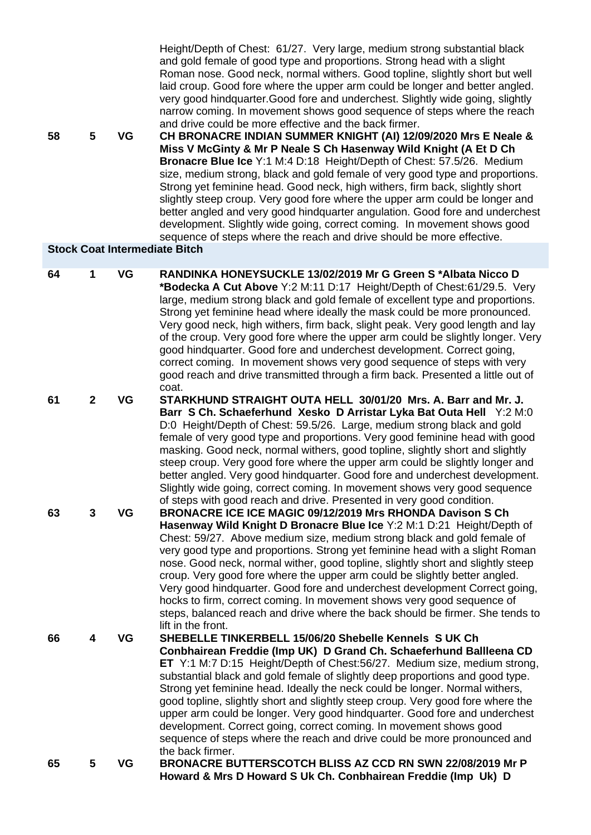Roman nose. Good neck, normal withers. Good topline, slightly short but well laid croup. Good fore where the upper arm could be longer and better angled. very good hindquarter.Good fore and underchest. Slightly wide going, slightly narrow coming. In movement shows good sequence of steps where the reach and drive could be more effective and the back firmer.

**58 5 VG CH BRONACRE INDIAN SUMMER KNIGHT (AI) 12/09/2020 Mrs E Neale & Miss V McGinty & Mr P Neale S Ch Hasenway Wild Knight (A Et D Ch Bronacre Blue Ice** Y:1 M:4 D:18 Height/Depth of Chest: 57.5/26. Medium size, medium strong, black and gold female of very good type and proportions. Strong yet feminine head. Good neck, high withers, firm back, slightly short slightly steep croup. Very good fore where the upper arm could be longer and better angled and very good hindquarter angulation. Good fore and underchest development. Slightly wide going, correct coming. In movement shows good sequence of steps where the reach and drive should be more effective.

Height/Depth of Chest: 61/27. Very large, medium strong substantial black and gold female of good type and proportions. Strong head with a slight

### **Stock Coat Intermediate Bitch**

| 64 | 1              | VG        | RANDINKA HONEYSUCKLE 13/02/2019 Mr G Green S*Albata Nicco D<br>*Bodecka A Cut Above Y:2 M:11 D:17 Height/Depth of Chest:61/29.5. Very<br>large, medium strong black and gold female of excellent type and proportions.<br>Strong yet feminine head where ideally the mask could be more pronounced.<br>Very good neck, high withers, firm back, slight peak. Very good length and lay<br>of the croup. Very good fore where the upper arm could be slightly longer. Very<br>good hindquarter. Good fore and underchest development. Correct going,<br>correct coming. In movement shows very good sequence of steps with very<br>good reach and drive transmitted through a firm back. Presented a little out of              |
|----|----------------|-----------|-------------------------------------------------------------------------------------------------------------------------------------------------------------------------------------------------------------------------------------------------------------------------------------------------------------------------------------------------------------------------------------------------------------------------------------------------------------------------------------------------------------------------------------------------------------------------------------------------------------------------------------------------------------------------------------------------------------------------------|
| 61 | $\overline{2}$ | VG        | coat.<br>STARKHUND STRAIGHT OUTA HELL 30/01/20 Mrs. A. Barr and Mr. J.<br>Barr S Ch. Schaeferhund Xesko D Arristar Lyka Bat Outa Hell Y:2 M:0<br>D:0 Height/Depth of Chest: 59.5/26. Large, medium strong black and gold<br>female of very good type and proportions. Very good feminine head with good<br>masking. Good neck, normal withers, good topline, slightly short and slightly<br>steep croup. Very good fore where the upper arm could be slightly longer and<br>better angled. Very good hindquarter. Good fore and underchest development.<br>Slightly wide going, correct coming. In movement shows very good sequence<br>of steps with good reach and drive. Presented in very good condition.                 |
| 63 | 3              | VG        | BRONACRE ICE ICE MAGIC 09/12/2019 Mrs RHONDA Davison S Ch<br>Hasenway Wild Knight D Bronacre Blue Ice Y:2 M:1 D:21 Height/Depth of<br>Chest: 59/27. Above medium size, medium strong black and gold female of<br>very good type and proportions. Strong yet feminine head with a slight Roman<br>nose. Good neck, normal wither, good topline, slightly short and slightly steep<br>croup. Very good fore where the upper arm could be slightly better angled.<br>Very good hindquarter. Good fore and underchest development Correct going,<br>hocks to firm, correct coming. In movement shows very good sequence of<br>steps, balanced reach and drive where the back should be firmer. She tends to<br>lift in the front. |
| 66 | 4              | VG        | SHEBELLE TINKERBELL 15/06/20 Shebelle Kennels S UK Ch<br>Conbhairean Freddie (Imp UK) D Grand Ch. Schaeferhund Ballleena CD<br><b>ET</b> Y:1 M:7 D:15 Height/Depth of Chest:56/27. Medium size, medium strong,<br>substantial black and gold female of slightly deep proportions and good type.<br>Strong yet feminine head. Ideally the neck could be longer. Normal withers,<br>good topline, slightly short and slightly steep croup. Very good fore where the<br>upper arm could be longer. Very good hindquarter. Good fore and underchest<br>development. Correct going, correct coming. In movement shows good<br>sequence of steps where the reach and drive could be more pronounced and<br>the back firmer.         |
| 65 | 5              | <b>VG</b> | BRONACRE BUTTERSCOTCH BLISS AZ CCD RN SWN 22/08/2019 Mr P<br>Howard & Mrs D Howard S Uk Ch. Conbhairean Freddie (Imp Uk) D                                                                                                                                                                                                                                                                                                                                                                                                                                                                                                                                                                                                    |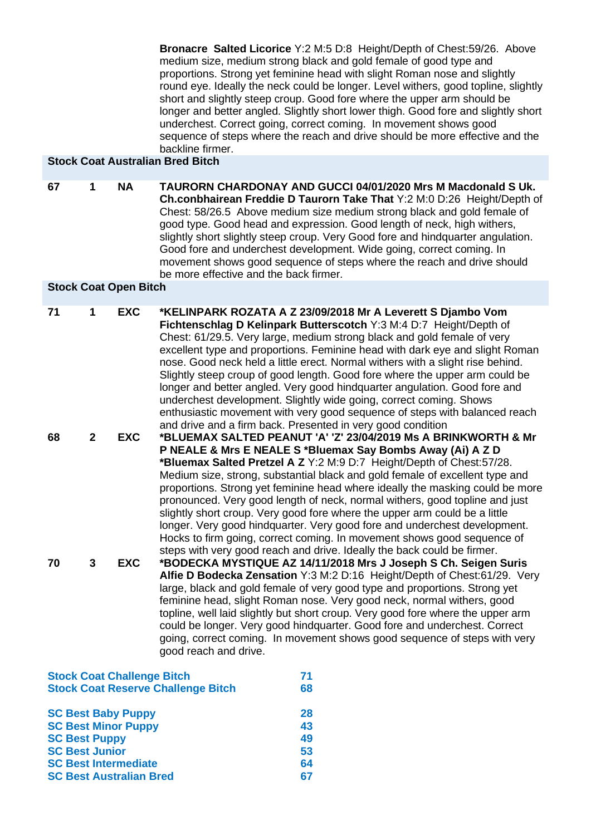**Bronacre Salted Licorice** Y:2 M:5 D:8 Height/Depth of Chest:59/26. Above medium size, medium strong black and gold female of good type and proportions. Strong yet feminine head with slight Roman nose and slightly round eye. Ideally the neck could be longer. Level withers, good topline, slightly short and slightly steep croup. Good fore where the upper arm should be longer and better angled. Slightly short lower thigh. Good fore and slightly short underchest. Correct going, correct coming. In movement shows good sequence of steps where the reach and drive should be more effective and the backline firmer.

## **Stock Coat Australian Bred Bitch**

**67 1 NA TAURORN CHARDONAY AND GUCCI 04/01/2020 Mrs M Macdonald S Uk. Ch.conbhairean Freddie D Taurorn Take That** Y:2 M:0 D:26 Height/Depth of Chest: 58/26.5 Above medium size medium strong black and gold female of good type. Good head and expression. Good length of neck, high withers, slightly short slightly steep croup. Very Good fore and hindquarter angulation. Good fore and underchest development. Wide going, correct coming. In movement shows good sequence of steps where the reach and drive should be more effective and the back firmer.

### **Stock Coat Open Bitch**

| 71 | 1              | <b>EXC</b>                        | *KELINPARK ROZATA A Z 23/09/2018 Mr A Leverett S Djambo Vom<br>Fichtenschlag D Kelinpark Butterscotch Y:3 M:4 D:7 Height/Depth of<br>Chest: 61/29.5. Very large, medium strong black and gold female of very<br>excellent type and proportions. Feminine head with dark eye and slight Roman<br>nose. Good neck held a little erect. Normal withers with a slight rise behind.<br>Slightly steep croup of good length. Good fore where the upper arm could be<br>longer and better angled. Very good hindquarter angulation. Good fore and<br>underchest development. Slightly wide going, correct coming. Shows<br>enthusiastic movement with very good sequence of steps with balanced reach<br>and drive and a firm back. Presented in very good condition |
|----|----------------|-----------------------------------|---------------------------------------------------------------------------------------------------------------------------------------------------------------------------------------------------------------------------------------------------------------------------------------------------------------------------------------------------------------------------------------------------------------------------------------------------------------------------------------------------------------------------------------------------------------------------------------------------------------------------------------------------------------------------------------------------------------------------------------------------------------|
| 68 | $\overline{2}$ | <b>EXC</b>                        | *BLUEMAX SALTED PEANUT 'A' 'Z' 23/04/2019 Ms A BRINKWORTH & Mr                                                                                                                                                                                                                                                                                                                                                                                                                                                                                                                                                                                                                                                                                                |
|    |                |                                   | P NEALE & Mrs E NEALE S *Bluemax Say Bombs Away (Ai) A Z D<br>*Bluemax Salted Pretzel A Z Y:2 M:9 D:7 Height/Depth of Chest:57/28.<br>Medium size, strong, substantial black and gold female of excellent type and<br>proportions. Strong yet feminine head where ideally the masking could be more<br>pronounced. Very good length of neck, normal withers, good topline and just<br>slightly short croup. Very good fore where the upper arm could be a little<br>longer. Very good hindquarter. Very good fore and underchest development.<br>Hocks to firm going, correct coming. In movement shows good sequence of<br>steps with very good reach and drive. Ideally the back could be firmer.                                                           |
| 70 | 3              | <b>EXC</b>                        | *BODECKA MYSTIQUE AZ 14/11/2018 Mrs J Joseph S Ch. Seigen Suris<br>Alfie D Bodecka Zensation Y:3 M:2 D:16 Height/Depth of Chest:61/29. Very<br>large, black and gold female of very good type and proportions. Strong yet<br>feminine head, slight Roman nose. Very good neck, normal withers, good<br>topline, well laid slightly but short croup. Very good fore where the upper arm<br>could be longer. Very good hindquarter. Good fore and underchest. Correct<br>going, correct coming. In movement shows good sequence of steps with very<br>good reach and drive.                                                                                                                                                                                     |
|    |                | <b>Stock Coat Challenge Bitch</b> | 71                                                                                                                                                                                                                                                                                                                                                                                                                                                                                                                                                                                                                                                                                                                                                            |

| <b>SLUCK GOAL GRANDERING DILGTI</b>       |    |
|-------------------------------------------|----|
| <b>Stock Coat Reserve Challenge Bitch</b> | 68 |
| <b>SC Best Baby Puppy</b>                 | 28 |
| <b>SC Best Minor Puppy</b>                | 43 |
| <b>SC Best Puppy</b>                      | 49 |
| <b>SC Best Junior</b>                     | 53 |
| <b>SC Best Intermediate</b>               | 64 |
| <b>SC Best Australian Bred</b>            | 67 |
|                                           |    |